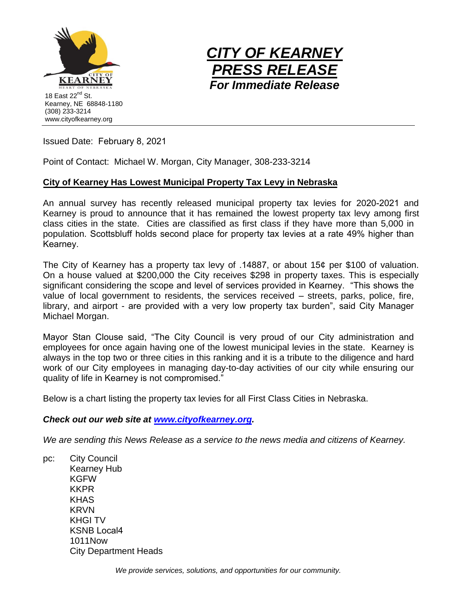



Issued Date: February 8, 2021

Point of Contact: Michael W. Morgan, City Manager, 308-233-3214

## **City of Kearney Has Lowest Municipal Property Tax Levy in Nebraska**

An annual survey has recently released municipal property tax levies for 2020-2021 and Kearney is proud to announce that it has remained the lowest property tax levy among first class cities in the state. Cities are classified as first class if they have more than 5,000 in population. Scottsbluff holds second place for property tax levies at a rate 49% higher than Kearney.

The City of Kearney has a property tax levy of .14887, or about 15¢ per \$100 of valuation. On a house valued at \$200,000 the City receives \$298 in property taxes. This is especially significant considering the scope and level of services provided in Kearney. "This shows the value of local government to residents, the services received – streets, parks, police, fire, library, and airport - are provided with a very low property tax burden", said City Manager Michael Morgan.

Mayor Stan Clouse said, "The City Council is very proud of our City administration and employees for once again having one of the lowest municipal levies in the state. Kearney is always in the top two or three cities in this ranking and it is a tribute to the diligence and hard work of our City employees in managing day-to-day activities of our city while ensuring our quality of life in Kearney is not compromised."

Below is a chart listing the property tax levies for all First Class Cities in Nebraska.

## *Check out our web site at [www.cityofkearney.org.](http://www.cityofkearney.org/)*

*We are sending this News Release as a service to the news media and citizens of Kearney.* 

pc: City Council Kearney Hub KGFW KKPR KHAS KRVN KHGI TV KSNB Local4 1011Now City Department Heads

*We provide services, solutions, and opportunities for our community.*